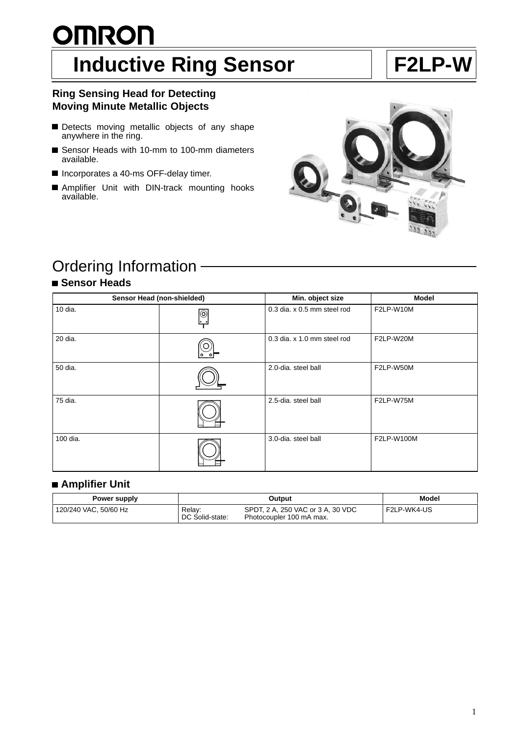# <u>OMRON</u> **Inductive Ring Sensor F2LP-W**

# **Ring Sensing Head for Detecting Moving Minute Metallic Objects**

- Detects moving metallic objects of any shape anywhere in the ring.
- Sensor Heads with 10-mm to 100-mm diameters available.
- Incorporates a 40-ms OFF-delay timer.
- Amplifier Unit with DIN-track mounting hooks available.



# Ordering Information

# **Sensor Heads**

| Sensor Head (non-shielded) |                 | Min. object size            | <b>Model</b> |
|----------------------------|-----------------|-----------------------------|--------------|
| 10 dia.                    | ⊚<br>$ 0 \> 0 $ | 0.3 dia, x 0.5 mm steel rod | F2LP-W10M    |
| 20 dia.                    | ۰               | 0.3 dia, x 1.0 mm steel rod | F2LP-W20M    |
| 50 dia.                    |                 | 2.0-dia, steel ball         | F2LP-W50M    |
| 75 dia.                    |                 | 2.5-dia, steel ball         | F2LP-W75M    |
| 100 dia.                   |                 | 3.0-dia. steel ball         | F2LP-W100M   |

# **Amplifier Unit**

| Power supply          |                           | Output                                                        | <b>Model</b> |
|-----------------------|---------------------------|---------------------------------------------------------------|--------------|
| 120/240 VAC, 50/60 Hz | Relay:<br>DC Solid-state: | SPDT, 2 A, 250 VAC or 3 A, 30 VDC<br>Photocoupler 100 mA max. | F2LP-WK4-US  |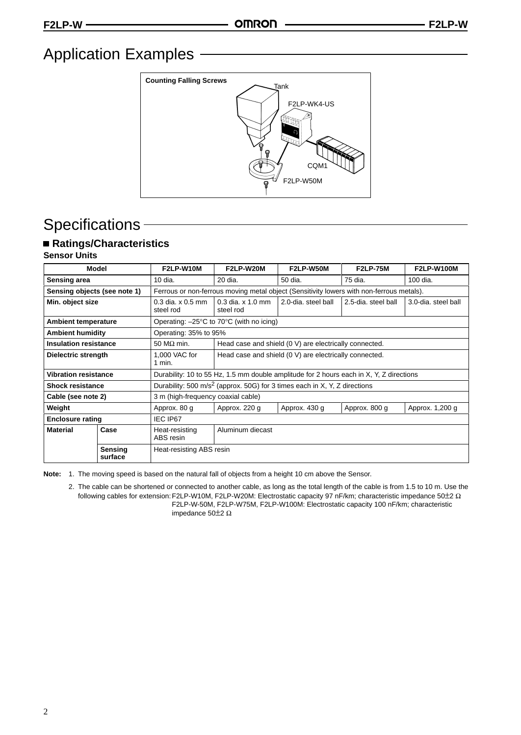# Application Examples



# **Specifications**

# **Ratings/Characteristics**

| <b>Sensor Units</b> |  |
|---------------------|--|
|---------------------|--|

|                              | Model              | F2LP-W10M                                                                                | F2LP-W20M                               | F2LP-W50M           | <b>F2LP-75M</b>     | <b>F2LP-W100M</b>   |
|------------------------------|--------------------|------------------------------------------------------------------------------------------|-----------------------------------------|---------------------|---------------------|---------------------|
| Sensing area                 |                    | 10 dia.                                                                                  | 20 dia.                                 | 50 dia.             | 75 dia.             | 100 dia.            |
| Sensing objects (see note 1) |                    | Ferrous or non-ferrous moving metal object (Sensitivity lowers with non-ferrous metals). |                                         |                     |                     |                     |
| Min. object size             |                    | $0.3$ dia, $\times$ 0.5 mm<br>steel rod                                                  | $0.3$ dia. $\times$ 1.0 mm<br>steel rod | 2.0-dia. steel ball | 2.5-dia. steel ball | 3.0-dia. steel ball |
| <b>Ambient temperature</b>   |                    | Operating: $-25^{\circ}$ C to 70 $^{\circ}$ C (with no icing)                            |                                         |                     |                     |                     |
| <b>Ambient humidity</b>      |                    | Operating: 35% to 95%                                                                    |                                         |                     |                     |                     |
| <b>Insulation resistance</b> |                    | 50 M $\Omega$ min.<br>Head case and shield (0 V) are electrically connected.             |                                         |                     |                     |                     |
| Dielectric strength          |                    | 1,000 VAC for<br>Head case and shield (0 V) are electrically connected.<br>1 min.        |                                         |                     |                     |                     |
| <b>Vibration resistance</b>  |                    | Durability: 10 to 55 Hz, 1.5 mm double amplitude for 2 hours each in X, Y, Z directions  |                                         |                     |                     |                     |
| <b>Shock resistance</b>      |                    | Durability: 500 m/s <sup>2</sup> (approx. 50G) for 3 times each in X, Y, Z directions    |                                         |                     |                     |                     |
| Cable (see note 2)           |                    | 3 m (high-frequency coaxial cable)                                                       |                                         |                     |                     |                     |
| Weight                       |                    | Approx. 80 g<br>Approx. 220 g<br>Approx. 430 g<br>Approx. 800 g<br>Approx. 1,200 g       |                                         |                     |                     |                     |
| <b>Enclosure rating</b>      |                    | IEC IP67                                                                                 |                                         |                     |                     |                     |
| <b>Material</b>              | Case               | Heat-resisting<br>ABS resin                                                              | Aluminum diecast                        |                     |                     |                     |
|                              | Sensing<br>surface | Heat-resisting ABS resin                                                                 |                                         |                     |                     |                     |

**Note:** 1. The moving speed is based on the natural fall of objects from a height 10 cm above the Sensor.

2. The cable can be shortened or connected to another cable, as long as the total length of the cable is from 1.5 to 10 m. Use the following cables for extension:F2LP-W10M, F2LP-W20M: Electrostatic capacity 97 nF/km; characteristic impedance 50±2 Ω F2LP-W-50M, F2LP-W75M, F2LP-W100M: Electrostatic capacity 100 nF/km; characteristic impedance 50±2 Ω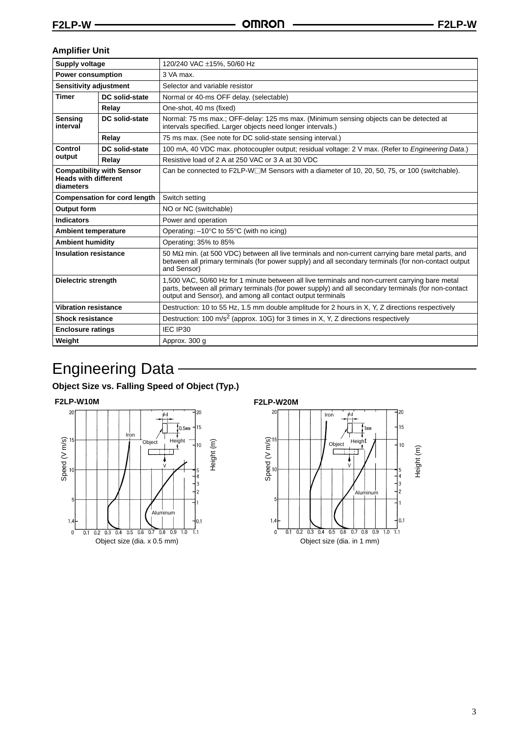# **Amplifier Unit**

| <b>Supply voltage</b>                                                        |                                     | 120/240 VAC ±15%, 50/60 Hz                                                                                                                                                                                                                                            |  |  |
|------------------------------------------------------------------------------|-------------------------------------|-----------------------------------------------------------------------------------------------------------------------------------------------------------------------------------------------------------------------------------------------------------------------|--|--|
| <b>Power consumption</b>                                                     |                                     | 3 VA max.                                                                                                                                                                                                                                                             |  |  |
| Sensitivity adjustment                                                       |                                     | Selector and variable resistor                                                                                                                                                                                                                                        |  |  |
| <b>Timer</b><br>DC solid-state                                               |                                     | Normal or 40-ms OFF delay. (selectable)                                                                                                                                                                                                                               |  |  |
| Relay                                                                        |                                     | One-shot, 40 ms (fixed)                                                                                                                                                                                                                                               |  |  |
| Sensing<br>interval                                                          | DC solid-state                      | Normal: 75 ms max.; OFF-delay: 125 ms max. (Minimum sensing objects can be detected at<br>intervals specified. Larger objects need longer intervals.)                                                                                                                 |  |  |
|                                                                              | Relay                               | 75 ms max. (See note for DC solid-state sensing interval.)                                                                                                                                                                                                            |  |  |
| Control                                                                      | DC solid-state                      | 100 mA, 40 VDC max. photocoupler output; residual voltage: 2 V max. (Refer to Engineering Data.)                                                                                                                                                                      |  |  |
| output                                                                       | Relay                               | Resistive load of 2 A at 250 VAC or 3 A at 30 VDC                                                                                                                                                                                                                     |  |  |
| <b>Compatibility with Sensor</b><br><b>Heads with different</b><br>diameters |                                     | Can be connected to $F2LP-W\square M$ Sensors with a diameter of 10, 20, 50, 75, or 100 (switchable).                                                                                                                                                                 |  |  |
|                                                                              | <b>Compensation for cord length</b> | Switch setting                                                                                                                                                                                                                                                        |  |  |
| <b>Output form</b>                                                           |                                     | NO or NC (switchable)                                                                                                                                                                                                                                                 |  |  |
| <b>Indicators</b>                                                            |                                     | Power and operation                                                                                                                                                                                                                                                   |  |  |
| <b>Ambient temperature</b>                                                   |                                     | Operating: $-10^{\circ}$ C to 55 $^{\circ}$ C (with no icing)                                                                                                                                                                                                         |  |  |
| <b>Ambient humidity</b>                                                      |                                     | Operating: 35% to 85%                                                                                                                                                                                                                                                 |  |  |
| <b>Insulation resistance</b>                                                 |                                     | 50 $\mathsf{M}\Omega$ min. (at 500 VDC) between all live terminals and non-current carrying bare metal parts, and<br>between all primary terminals (for power supply) and all secondary terminals (for non-contact output<br>and Sensor)                              |  |  |
| <b>Dielectric strength</b>                                                   |                                     | 1,500 VAC, 50/60 Hz for 1 minute between all live terminals and non-current carrying bare metal<br>parts, between all primary terminals (for power supply) and all secondary terminals (for non-contact<br>output and Sensor), and among all contact output terminals |  |  |
| <b>Vibration resistance</b>                                                  |                                     | Destruction: 10 to 55 Hz, 1.5 mm double amplitude for 2 hours in X, Y, Z directions respectively                                                                                                                                                                      |  |  |
| <b>Shock resistance</b>                                                      |                                     | Destruction: 100 m/s <sup>2</sup> (approx. 10G) for 3 times in X, Y, Z directions respectively                                                                                                                                                                        |  |  |
| <b>Enclosure ratings</b>                                                     |                                     | IEC IP30                                                                                                                                                                                                                                                              |  |  |
| Weight                                                                       |                                     | Approx. 300 g                                                                                                                                                                                                                                                         |  |  |

# Engineering Data

# **Object Size vs. Falling Speed of Object (Typ.)**

## **F2LP-W10M F2LP-W20M**



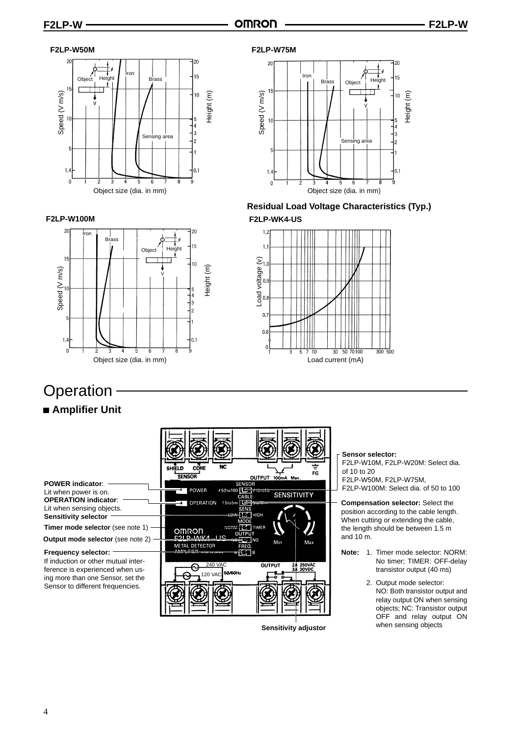# **F2LP-W50M**





**Residual Load Voltage Characteristics (Typ.)**

**F2LP-W100M F2LP-WK4-US**





# **Operation**

# **Amplifier Unit**

|                                                      | NC<br><b>CORE</b><br><b>SHIELD</b>                                                                                                                                                                                                                                                                                                                                                         |
|------------------------------------------------------|--------------------------------------------------------------------------------------------------------------------------------------------------------------------------------------------------------------------------------------------------------------------------------------------------------------------------------------------------------------------------------------------|
|                                                      | FG<br><b>SENSOR</b><br>OUTPUT 100mA Max.                                                                                                                                                                                                                                                                                                                                                   |
| <b>POWER indicator:</b>                              | <b>SENSOR</b>                                                                                                                                                                                                                                                                                                                                                                              |
| Lit when power is on.<br><b>OPERATION indicator:</b> | ⊀50to100 <del>€ 1⊁iôtózó</del><br>POWER<br><b>SENSITIVITY</b><br>CABLE<br>15to5m $\sqrt{2}$ = $\frac{1}{2}$ = $\frac{1}{2}$ = $\frac{1}{2}$ = $\frac{1}{2}$ = $\frac{1}{2}$ = $\frac{1}{2}$ = $\frac{1}{2}$ = $\frac{1}{2}$ = $\frac{1}{2}$ = $\frac{1}{2}$ = $\frac{1}{2}$ = $\frac{1}{2}$ = $\frac{1}{2}$ = $\frac{1}{2}$ = $\frac{1}{2}$ = $\frac{1}{2}$ = $\frac{1}{2}$ =<br>OPERATION |
| Lit when sensing objects.                            | <b>SENS</b>                                                                                                                                                                                                                                                                                                                                                                                |
| <b>Sensitivity selector</b>                          | r<br>V<br><b>СТНІСН</b>                                                                                                                                                                                                                                                                                                                                                                    |
| Timer mode selector (see note 1)                     | MODE<br>tl<br><b>TECT TIMER</b><br>omron                                                                                                                                                                                                                                                                                                                                                   |
| <b>Output mode selector</b> (see note 2)             | â<br>D-MIKA LIC MARTIN<br><b>INO</b><br>Min<br>Max<br>METAL DETECTOR<br>FREQ.                                                                                                                                                                                                                                                                                                              |
| <b>Frequency selector:</b>                           | N<br>H∴SlB                                                                                                                                                                                                                                                                                                                                                                                 |
| If induction or other mutual inter-                  | <b>240 VAC</b><br>250VAC<br><b>OUTPUT</b><br>24                                                                                                                                                                                                                                                                                                                                            |
| ference is experienced when us-                      | 30VDC<br>34<br><b>50/60Hz</b>                                                                                                                                                                                                                                                                                                                                                              |
| ing more than one Sensor, set the                    | <b>120 VAC</b>                                                                                                                                                                                                                                                                                                                                                                             |
| Sensor to different frequencies.                     |                                                                                                                                                                                                                                                                                                                                                                                            |

**Sensor selector:**

F2LP-W10M, F2LP-W20M: Select dia. of 10 to 20 F2LP-W50M, F2LP-W75M, F2LP-W100M: Select dia. of 50 to 100

**Compensation selector:** Select the position according to the cable length. When cutting or extending the cable, the length should be between 1.5 m and 10  $m$ .

- **Note:** 1. Timer mode selector: NORM: No timer; TIMER: OFF-delay transistor output (40 ms)
	- 2. Output mode selector: NO: Both transistor output and relay output ON when sensing objects; NC: Transistor output OFF and relay output ON when sensing objects

| Sensitivity adjustor |  |
|----------------------|--|
|----------------------|--|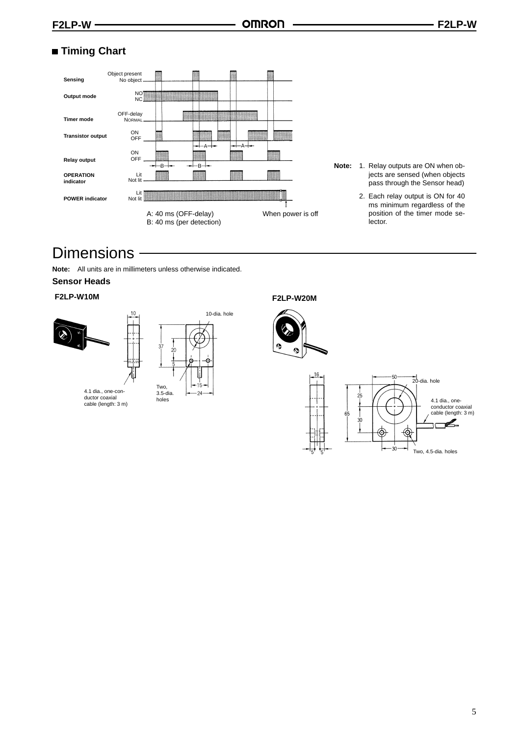# **Timing Chart**



- **Note:** 1. Relay outputs are ON when objects are sensed (when objects pass through the Sensor head)
	- 2. Each relay output is ON for 40 ms minimum regardless of the position of the timer mode selector.

# **Dimensions**

**Note:** All units are in millimeters unless otherwise indicated.

## **Sensor Heads**

#### **F2LP-W10M**



cable (length: 3 m)



# **F2LP-W20M**



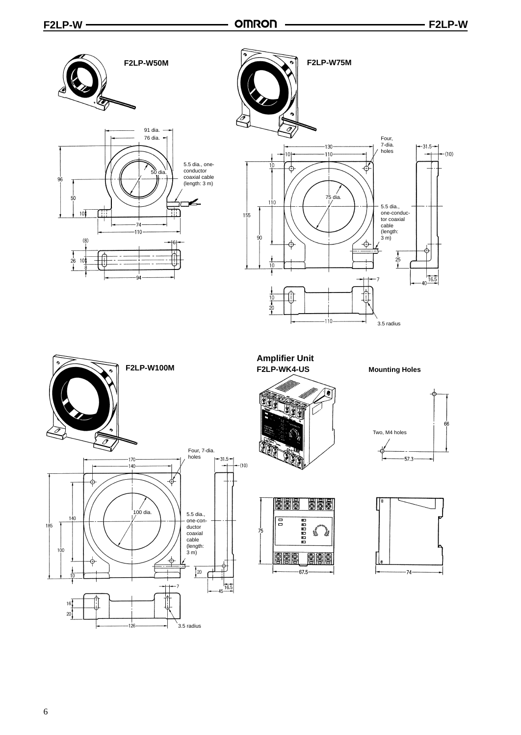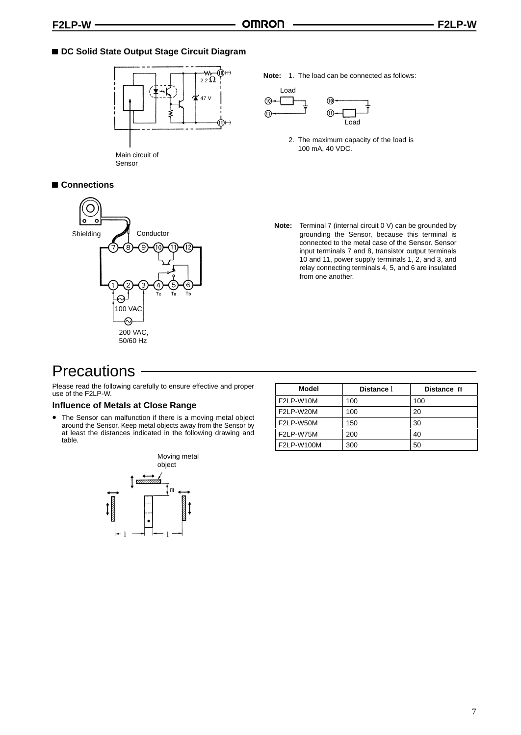# ■ DC Solid State Output Stage Circuit Diagram



Main circuit of Sensor

#### **Note:** 1. The load can be connected as follows:



2. The maximum capacity of the load is 100 mA, 40 VDC.

# ■ Connections



**Note:** Terminal 7 (internal circuit 0 V) can be grounded by grounding the Sensor, because this terminal is connected to the metal case of the Sensor. Sensor input terminals 7 and 8, transistor output terminals 10 and 11, power supply terminals 1, 2, and 3, and relay connecting terminals 4, 5, and 6 are insulated from one another.

# **Precautions**

Please read the following carefully to ensure effective and proper use of the F2LP-W.

## **Influence of Metals at Close Range**

• The Sensor can malfunction if there is a moving metal object around the Sensor. Keep metal objects away from the Sensor by at least the distances indicated in the following drawing and table.



| Model      | Distance l | Distance m |
|------------|------------|------------|
| F2LP-W10M  | 100        | 100        |
| F2LP-W20M  | 100        | 20         |
| F2LP-W50M  | 150        | 30         |
| F2LP-W75M  | 200        | 40         |
| F2LP-W100M | 300        | 50         |